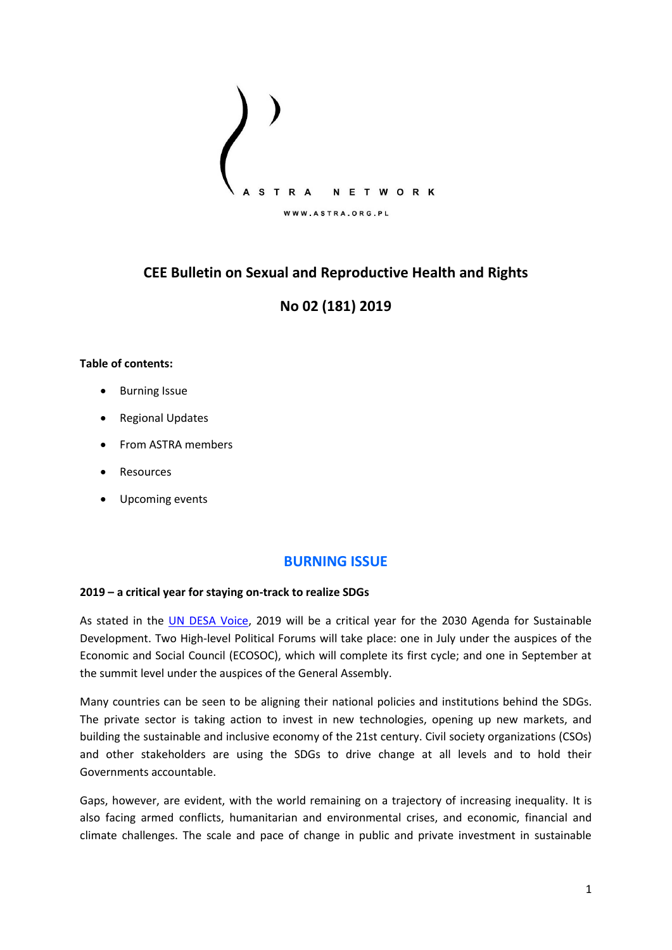

# **CEE Bulletin on Sexual and Reproductive Health and Rights**

# **No 02 (181) 2019**

### **Table of contents:**

- Burning Issue
- Regional Updates
- From ASTRA members
- Resources
- Upcoming events

## **BURNING ISSUE**

### **2019 – a critical year for staying on-track to realize SDGs**

As stated in the [UN DESA Voice,](https://www.un.org/development/desa/undesavoice/highlights/2019/01) 2019 will be a critical year for the 2030 Agenda for Sustainable Development. Two High-level Political Forums will take place: one in July under the auspices of the Economic and Social Council (ECOSOC), which will complete its first cycle; and one in September at the summit level under the auspices of the General Assembly.

Many countries can be seen to be aligning their national policies and institutions behind the SDGs. The private sector is taking action to invest in new technologies, opening up new markets, and building the sustainable and inclusive economy of the 21st century. Civil society organizations (CSOs) and other stakeholders are using the SDGs to drive change at all levels and to hold their Governments accountable.

Gaps, however, are evident, with the world remaining on a trajectory of increasing inequality. It is also facing armed conflicts, humanitarian and environmental crises, and economic, financial and climate challenges. The scale and pace of change in public and private investment in sustainable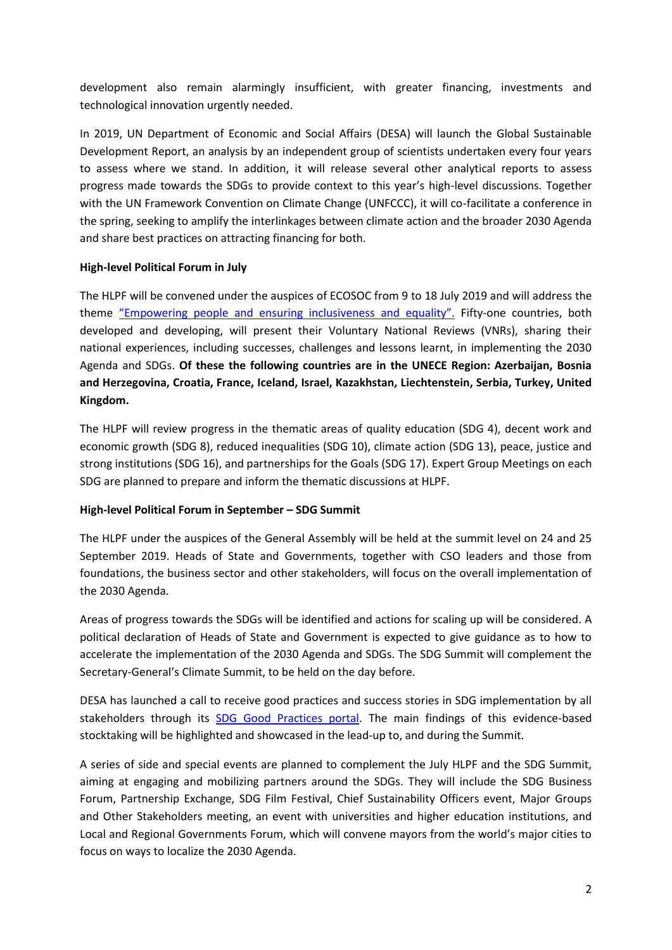development also remain alarmingly insufficient, with greater financing, investments and technological innovation urgently needed.

In 2019, UN Department of Economic and Social Affairs (DESA) will launch the Global Sustainable Development Report, an analysis by an independent group of scientists undertaken every four years to assess where we stand. In addition, it will release several other analytical reports to assess progress made towards the SDGs to provide context to this year's high-level discussions. Together with the UN Framework Convention on Climate Change (UNFCCC), it will co-facilitate a conference in the spring, seeking to amplify the interlinkages between climate action and the broader 2030 Agenda and share best practices on attracting financing for both.

### **High-level Political Forum in July**

The HLPF will be convened under the auspices of ECOSOC from 9 to 18 July 2019 and will address the theme ["Empowering people and ensuring inclusiveness and equality".](https://sustainabledevelopment.un.org/hlpf) Fifty-one countries, both developed and developing, will present their Voluntary National Reviews (VNRs), sharing their national experiences, including successes, challenges and lessons learnt, in implementing the 2030 Agenda and SDGs. **Of these the following countries are in the UNECE Region: Azerbaijan, Bosnia and Herzegovina, Croatia, France, Iceland, Israel, Kazakhstan, Liechtenstein, Serbia, Turkey, United Kingdom.** 

The HLPF will review progress in the thematic areas of quality education (SDG 4), decent work and economic growth (SDG 8), reduced inequalities (SDG 10), climate action (SDG 13), peace, justice and strong institutions (SDG 16), and partnerships for the Goals (SDG 17). Expert Group Meetings on each SDG are planned to prepare and inform the thematic discussions at HLPF.

## **High-level Political Forum in September – SDG Summit**

The HLPF under the auspices of the General Assembly will be held at the summit level on 24 and 25 September 2019. Heads of State and Governments, together with CSO leaders and those from foundations, the business sector and other stakeholders, will focus on the overall implementation of the 2030 Agenda.

Areas of progress towards the SDGs will be identified and actions for scaling up will be considered. A political declaration of Heads of State and Government is expected to give guidance as to how to accelerate the implementation of the 2030 Agenda and SDGs. The SDG Summit will complement the Secretary-General's Climate Summit, to be held on the day before.

DESA has launched a call to receive good practices and success stories in SDG implementation by all stakeholders through its [SDG Good Practices portal.](https://sustainabledevelopment.un.org/sdgs/goodpractices) The main findings of this evidence-based stocktaking will be highlighted and showcased in the lead-up to, and during the Summit.

A series of side and special events are planned to complement the July HLPF and the SDG Summit, aiming at engaging and mobilizing partners around the SDGs. They will include the SDG Business Forum, Partnership Exchange, SDG Film Festival, Chief Sustainability Officers event, Major Groups and Other Stakeholders meeting, an event with universities and higher education institutions, and Local and Regional Governments Forum, which will convene mayors from the world's major cities to focus on ways to localize the 2030 Agenda.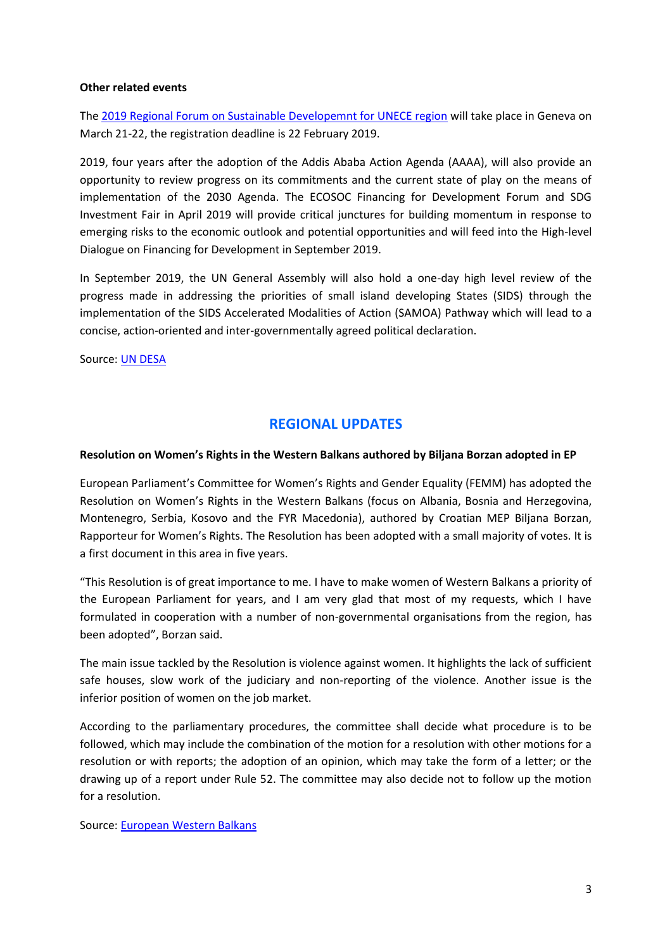### **Other related events**

The [2019 Regional Forum on Sustainable Developemnt for UNECE region](https://www.unece.org/sustainable-development/rfsd2019.html) will take place in Geneva on March 21-22, the registration deadline is 22 February 2019.

2019, four years after the adoption of the Addis Ababa Action Agenda (AAAA), will also provide an opportunity to review progress on its commitments and the current state of play on the means of implementation of the 2030 Agenda. The ECOSOC Financing for Development Forum and SDG Investment Fair in April 2019 will provide critical junctures for building momentum in response to emerging risks to the economic outlook and potential opportunities and will feed into the High-level Dialogue on Financing for Development in September 2019.

In September 2019, the UN General Assembly will also hold a one-day high level review of the progress made in addressing the priorities of small island developing States (SIDS) through the implementation of the SIDS Accelerated Modalities of Action (SAMOA) Pathway which will lead to a concise, action-oriented and inter-governmentally agreed political declaration.

Source: [UN DESA](https://www.un.org/development/desa/undesavoice/highlights/2019/01)

## **REGIONAL UPDATES**

### **Resolution on Women's Rights in the Western Balkans authored by Biljana Borzan adopted in EP**

European Parliament's Committee for Women's Rights and Gender Equality (FEMM) has adopted the Resolution on Women's Rights in the Western Balkans (focus on Albania, Bosnia and Herzegovina, Montenegro, Serbia, Kosovo and the FYR Macedonia), authored by Croatian MEP Biljana Borzan, Rapporteur for Women's Rights. The Resolution has been adopted with a small majority of votes. It is a first document in this area in five years.

"This Resolution is of great importance to me. I have to make women of Western Balkans a priority of the European Parliament for years, and I am very glad that most of my requests, which I have formulated in cooperation with a number of non-governmental organisations from the region, has been adopted", Borzan said.

The main issue tackled by the Resolution is violence against women. It highlights the lack of sufficient safe houses, slow work of the judiciary and non-reporting of the violence. Another issue is the inferior position of women on the job market.

According to the parliamentary procedures, the committee shall decide what procedure is to be followed, which may include the combination of the motion for a resolution with other motions for a resolution or with reports; the adoption of an opinion, which may take the form of a letter; or the drawing up of a report under Rule 52. The committee may also decide not to follow up the motion for a resolution.

#### Source: [European Western Balkans](https://europeanwesternbalkans.com/2019/01/23/resolution-womens-rights-western-balkans-authored-biljana-borzan-adopted-ep/)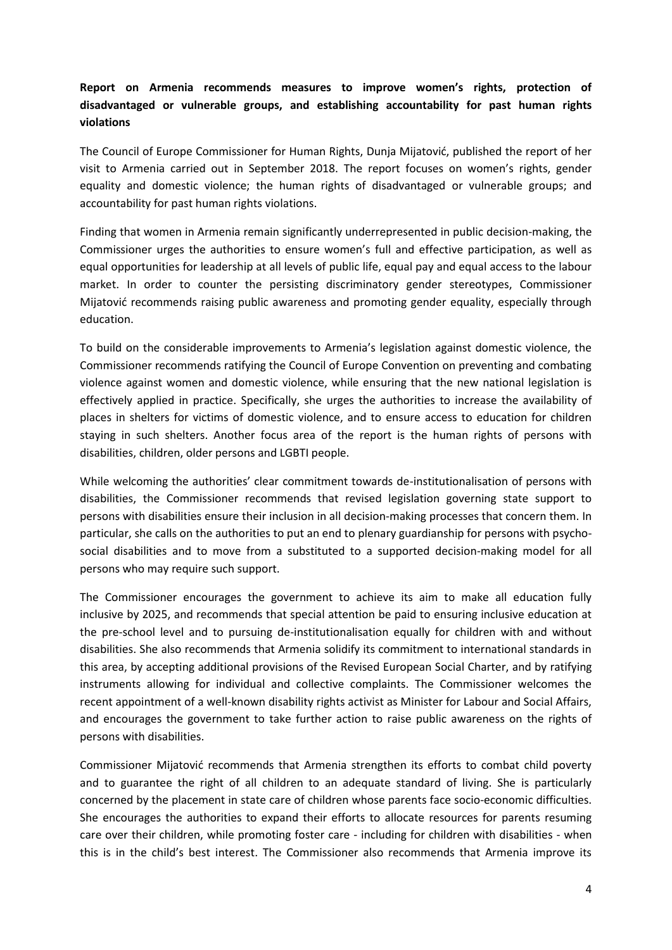## **Report on Armenia recommends measures to improve women's rights, protection of disadvantaged or vulnerable groups, and establishing accountability for past human rights violations**

The Council of Europe Commissioner for Human Rights, Dunja Mijatović, published the report of her visit to Armenia carried out in September 2018. The report focuses on women's rights, gender equality and domestic violence; the human rights of disadvantaged or vulnerable groups; and accountability for past human rights violations.

Finding that women in Armenia remain significantly underrepresented in public decision-making, the Commissioner urges the authorities to ensure women's full and effective participation, as well as equal opportunities for leadership at all levels of public life, equal pay and equal access to the labour market. In order to counter the persisting discriminatory gender stereotypes, Commissioner Mijatović recommends raising public awareness and promoting gender equality, especially through education.

To build on the considerable improvements to Armenia's legislation against domestic violence, the Commissioner recommends ratifying the Council of Europe Convention on preventing and combating violence against women and domestic violence, while ensuring that the new national legislation is effectively applied in practice. Specifically, she urges the authorities to increase the availability of places in shelters for victims of domestic violence, and to ensure access to education for children staying in such shelters. Another focus area of the report is the human rights of persons with disabilities, children, older persons and LGBTI people.

While welcoming the authorities' clear commitment towards de-institutionalisation of persons with disabilities, the Commissioner recommends that revised legislation governing state support to persons with disabilities ensure their inclusion in all decision-making processes that concern them. In particular, she calls on the authorities to put an end to plenary guardianship for persons with psychosocial disabilities and to move from a substituted to a supported decision-making model for all persons who may require such support.

The Commissioner encourages the government to achieve its aim to make all education fully inclusive by 2025, and recommends that special attention be paid to ensuring inclusive education at the pre-school level and to pursuing de-institutionalisation equally for children with and without disabilities. She also recommends that Armenia solidify its commitment to international standards in this area, by accepting additional provisions of the Revised European Social Charter, and by ratifying instruments allowing for individual and collective complaints. The Commissioner welcomes the recent appointment of a well-known disability rights activist as Minister for Labour and Social Affairs, and encourages the government to take further action to raise public awareness on the rights of persons with disabilities.

Commissioner Mijatović recommends that Armenia strengthen its efforts to combat child poverty and to guarantee the right of all children to an adequate standard of living. She is particularly concerned by the placement in state care of children whose parents face socio-economic difficulties. She encourages the authorities to expand their efforts to allocate resources for parents resuming care over their children, while promoting foster care - including for children with disabilities - when this is in the child's best interest. The Commissioner also recommends that Armenia improve its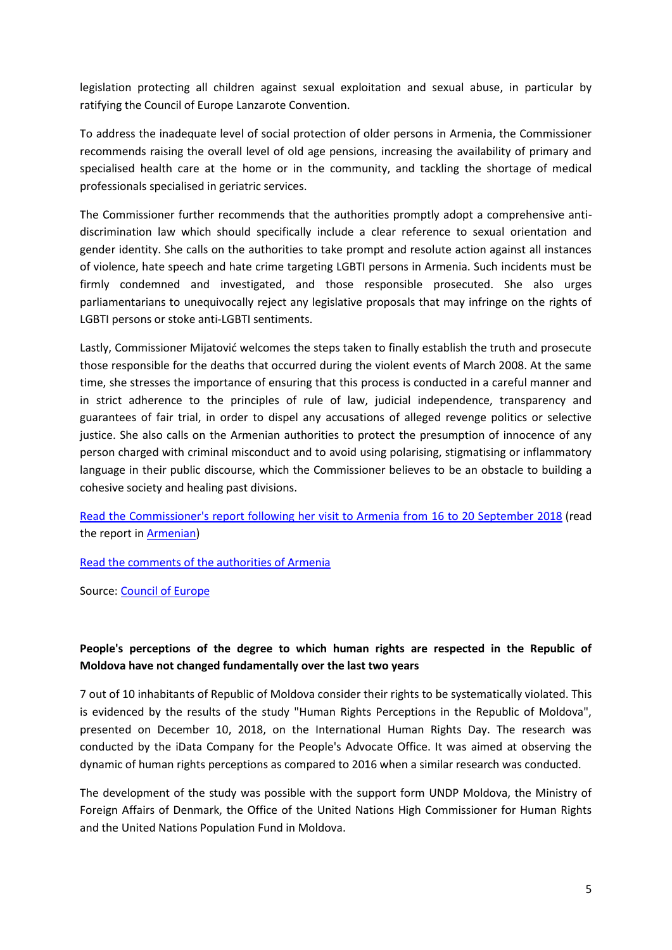legislation protecting all children against sexual exploitation and sexual abuse, in particular by ratifying the Council of Europe Lanzarote Convention.

To address the inadequate level of social protection of older persons in Armenia, the Commissioner recommends raising the overall level of old age pensions, increasing the availability of primary and specialised health care at the home or in the community, and tackling the shortage of medical professionals specialised in geriatric services.

The Commissioner further recommends that the authorities promptly adopt a comprehensive antidiscrimination law which should specifically include a clear reference to sexual orientation and gender identity. She calls on the authorities to take prompt and resolute action against all instances of violence, hate speech and hate crime targeting LGBTI persons in Armenia. Such incidents must be firmly condemned and investigated, and those responsible prosecuted. She also urges parliamentarians to unequivocally reject any legislative proposals that may infringe on the rights of LGBTI persons or stoke anti-LGBTI sentiments.

Lastly, Commissioner Mijatović welcomes the steps taken to finally establish the truth and prosecute those responsible for the deaths that occurred during the violent events of March 2008. At the same time, she stresses the importance of ensuring that this process is conducted in a careful manner and in strict adherence to the principles of rule of law, judicial independence, transparency and guarantees of fair trial, in order to dispel any accusations of alleged revenge politics or selective justice. She also calls on the Armenian authorities to protect the presumption of innocence of any person charged with criminal misconduct and to avoid using polarising, stigmatising or inflammatory language in their public discourse, which the Commissioner believes to be an obstacle to building a cohesive society and healing past divisions.

[Read the Commissioner's report following her visit to Armenia from](https://rm.coe.int/report-on-the-visit-to-armenia-from-16-to-20-september-2018-by-dunja-m/168091f9d5) 16 to 20 September 2018 (read the report in [Armenian\)](https://rm.coe.int/-2018-16-20-/1680920149)

[Read the comments of the authorities of Armenia](https://rm.coe.int/comments-by-the-armenian-authorities-to-the-report-of-the-council-of-e/168092014d)

Source: [Council of Europe](https://www.coe.int/en/web/commissioner/-/report-on-armenia-recommends-measures-to-improve-women-s-rights-protection-of-disadvantaged-or-vulnerable-groups-and-establishing-accountability-for-p)

## **People's perceptions of the degree to which human rights are respected in the Republic of Moldova have not changed fundamentally over the last two years**

7 out of 10 inhabitants of Republic of Moldova consider their rights to be systematically violated. This is evidenced by the results of the study "Human Rights Perceptions in the Republic of Moldova", presented on December 10, 2018, on the International Human Rights Day. The research was conducted by the iData Company for the People's Advocate Office. It was aimed at observing the dynamic of human rights perceptions as compared to 2016 when a similar research was conducted.

The development of the study was possible with the support form UNDP Moldova, the Ministry of Foreign Affairs of Denmark, the Office of the United Nations High Commissioner for Human Rights and the United Nations Population Fund in Moldova.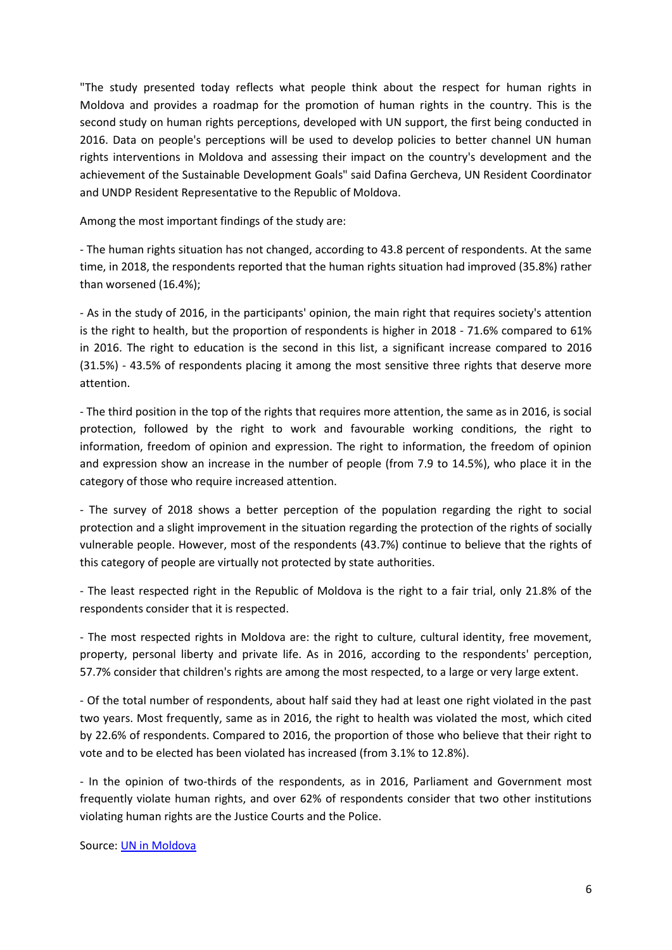"The study presented today reflects what people think about the respect for human rights in Moldova and provides a roadmap for the promotion of human rights in the country. This is the second study on human rights perceptions, developed with UN support, the first being conducted in 2016. Data on people's perceptions will be used to develop policies to better channel UN human rights interventions in Moldova and assessing their impact on the country's development and the achievement of the Sustainable Development Goals" said Dafina Gercheva, UN Resident Coordinator and UNDP Resident Representative to the Republic of Moldova.

Among the most important findings of the study are:

- The human rights situation has not changed, according to 43.8 percent of respondents. At the same time, in 2018, the respondents reported that the human rights situation had improved (35.8%) rather than worsened (16.4%);

- As in the study of 2016, in the participants' opinion, the main right that requires society's attention is the right to health, but the proportion of respondents is higher in 2018 - 71.6% compared to 61% in 2016. The right to education is the second in this list, a significant increase compared to 2016 (31.5%) - 43.5% of respondents placing it among the most sensitive three rights that deserve more attention.

- The third position in the top of the rights that requires more attention, the same as in 2016, is social protection, followed by the right to work and favourable working conditions, the right to information, freedom of opinion and expression. The right to information, the freedom of opinion and expression show an increase in the number of people (from 7.9 to 14.5%), who place it in the category of those who require increased attention.

- The survey of 2018 shows a better perception of the population regarding the right to social protection and a slight improvement in the situation regarding the protection of the rights of socially vulnerable people. However, most of the respondents (43.7%) continue to believe that the rights of this category of people are virtually not protected by state authorities.

- The least respected right in the Republic of Moldova is the right to a fair trial, only 21.8% of the respondents consider that it is respected.

- The most respected rights in Moldova are: the right to culture, cultural identity, free movement, property, personal liberty and private life. As in 2016, according to the respondents' perception, 57.7% consider that children's rights are among the most respected, to a large or very large extent.

- Of the total number of respondents, about half said they had at least one right violated in the past two years. Most frequently, same as in 2016, the right to health was violated the most, which cited by 22.6% of respondents. Compared to 2016, the proportion of those who believe that their right to vote and to be elected has been violated has increased (from 3.1% to 12.8%).

- In the opinion of two-thirds of the respondents, as in 2016, Parliament and Government most frequently violate human rights, and over 62% of respondents consider that two other institutions violating human rights are the Justice Courts and the Police.

Source: [UN in Moldova](http://md.one.un.org/content/unct/moldova/en/home/presscenter/press-releases/percep_ia-populaiei-privind-respectarea-drepturilor-omului-in-re.html)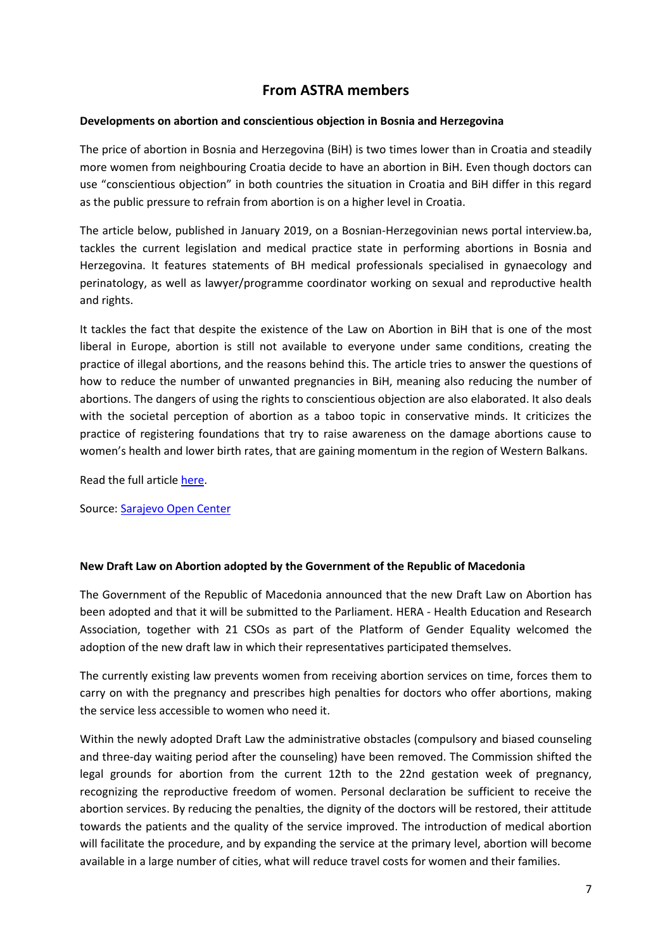## **From ASTRA members**

### **Developments on abortion and conscientious objection in Bosnia and Herzegovina**

The price of abortion in Bosnia and Herzegovina (BiH) is two times lower than in Croatia and steadily more women from neighbouring Croatia decide to have an abortion in BiH. Even though doctors can use "conscientious objection" in both countries the situation in Croatia and BiH differ in this regard as the public pressure to refrain from abortion is on a higher level in Croatia.

The article below, published in January 2019, on a Bosnian-Herzegovinian news portal interview.ba, tackles the current legislation and medical practice state in performing abortions in Bosnia and Herzegovina. It features statements of BH medical professionals specialised in gynaecology and perinatology, as well as lawyer/programme coordinator working on sexual and reproductive health and rights.

It tackles the fact that despite the existence of the Law on Abortion in BiH that is one of the most liberal in Europe, abortion is still not available to everyone under same conditions, creating the practice of illegal abortions, and the reasons behind this. The article tries to answer the questions of how to reduce the number of unwanted pregnancies in BiH, meaning also reducing the number of abortions. The dangers of using the rights to conscientious objection are also elaborated. It also deals with the societal perception of abortion as a taboo topic in conservative minds. It criticizes the practice of registering foundations that try to raise awareness on the damage abortions cause to women's health and lower birth rates, that are gaining momentum in the region of Western Balkans.

Read the full article [here.](http://astra.org.pl/developments-on-abortion-and-conscientious-objection-in-bosnia-and-hercegovina/?preview_id=2492&preview_nonce=6850c7fced&post_format=standard&_thumbnail_id=-1&preview=true)

Source: [Sarajevo Open Center](http://soc.ba/)

## **New Draft Law on Abortion adopted by the Government of the Republic of Macedonia**

The Government of the Republic of Macedonia announced that the new Draft Law on Abortion has been adopted and that it will be submitted to the Parliament. HERA - Health Education and Research Association, together with 21 CSOs as part of the Platform of Gender Equality welcomed the adoption of the new draft law in which their representatives participated themselves.

The currently existing law prevents women from receiving abortion services on time, forces them to carry on with the pregnancy and prescribes high penalties for doctors who offer abortions, making the service less accessible to women who need it.

Within the newly adopted Draft Law the administrative obstacles (compulsory and biased counseling and three-day waiting period after the counseling) have been removed. The Commission shifted the legal grounds for abortion from the current 12th to the 22nd gestation week of pregnancy, recognizing the reproductive freedom of women. Personal declaration be sufficient to receive the abortion services. By reducing the penalties, the dignity of the doctors will be restored, their attitude towards the patients and the quality of the service improved. The introduction of medical abortion will facilitate the procedure, and by expanding the service at the primary level, abortion will become available in a large number of cities, what will reduce travel costs for women and their families.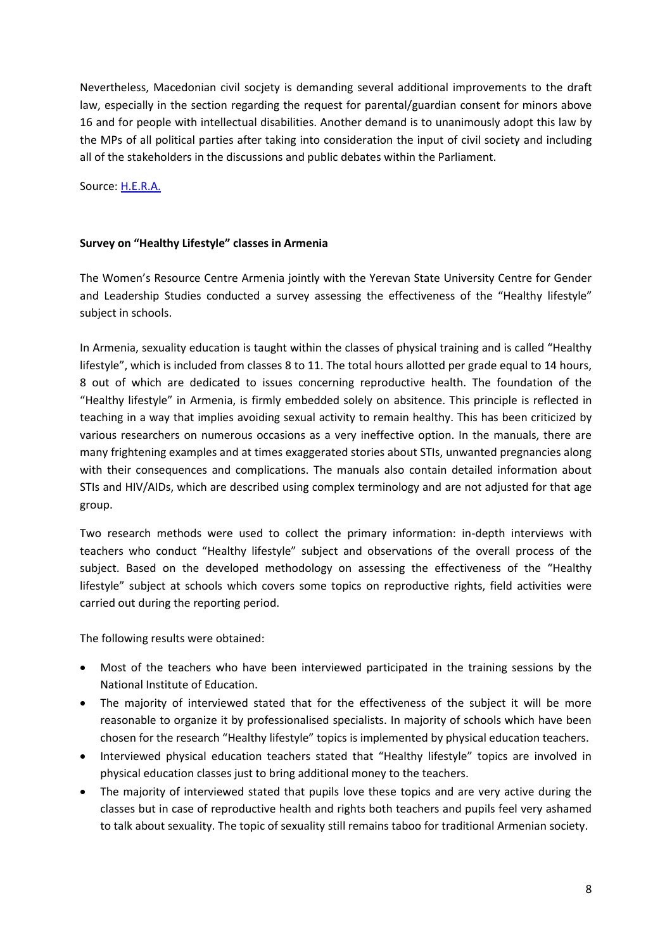Nevertheless, Macedonian civil socjety is demanding several additional improvements to the draft law, especially in the section regarding the request for parental/guardian consent for minors above 16 and for people with intellectual disabilities. Another demand is to unanimously adopt this law by the MPs of all political parties after taking into consideration the input of civil society and including all of the stakeholders in the discussions and public debates within the Parliament.

Source: [H.E.R.A.](https://hera.org.mk/?fbclid=IwAR35E4FlRKDxjfvJ2mUWdQSgnFfIgJFCS43BpBn_p2l9OBj-wIAiB-3V3j8)

### **Survey on "Healthy Lifestyle" classes in Armenia**

The Women's Resource Centre Armenia jointly with the Yerevan State University Centre for Gender and Leadership Studies conducted a survey assessing the effectiveness of the "Healthy lifestyle" subject in schools.

In Armenia, sexuality education is taught within the classes of physical training and is called "Healthy lifestyle", which is included from classes 8 to 11. The total hours allotted per grade equal to 14 hours, 8 out of which are dedicated to issues concerning reproductive health. The foundation of the "Healthy lifestyle" in Armenia, is firmly embedded solely on absitence. This principle is reflected in teaching in a way that implies avoiding sexual activity to remain healthy. This has been criticized by various researchers on numerous occasions as a very ineffective option. In the manuals, there are many frightening examples and at times exaggerated stories about STIs, unwanted pregnancies along with their consequences and complications. The manuals also contain detailed information about STIs and HIV/AIDs, which are described using complex terminology and are not adjusted for that age group.

Two research methods were used to collect the primary information: in-depth interviews with teachers who conduct "Healthy lifestyle" subject and observations of the overall process of the subject. Based on the developed methodology on assessing the effectiveness of the "Healthy lifestyle" subject at schools which covers some topics on reproductive rights, field activities were carried out during the reporting period.

The following results were obtained:

- Most of the teachers who have been interviewed participated in the training sessions by the National Institute of Education.
- The majority of interviewed stated that for the effectiveness of the subject it will be more reasonable to organize it by professionalised specialists. In majority of schools which have been chosen for the research "Healthy lifestyle" topics is implemented by physical education teachers.
- Interviewed physical education teachers stated that "Healthy lifestyle" topics are involved in physical education classes just to bring additional money to the teachers.
- The majority of interviewed stated that pupils love these topics and are very active during the classes but in case of reproductive health and rights both teachers and pupils feel very ashamed to talk about sexuality. The topic of sexuality still remains taboo for traditional Armenian society.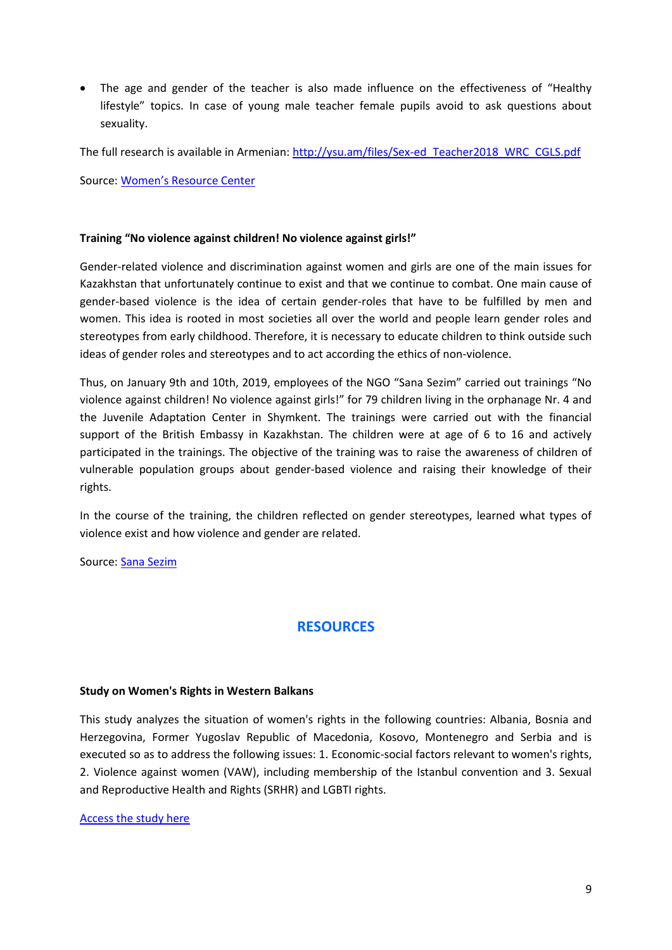The age and gender of the teacher is also made influence on the effectiveness of "Healthy lifestyle" topics. In case of young male teacher female pupils avoid to ask questions about sexuality.

The full research is available in Armenian: [http://ysu.am/files/Sex-ed\\_Teacher2018\\_WRC\\_CGLS.pdf](http://ysu.am/files/Sex-ed_Teacher2018_WRC_CGLS.pdf)

Source: [Women's Resource Center](http://www.womenofarmenia.org/)

### **Training "No violence against children! No violence against girls!"**

Gender-related violence and discrimination against women and girls are one of the main issues for Kazakhstan that unfortunately continue to exist and that we continue to combat. One main cause of gender-based violence is the idea of certain gender-roles that have to be fulfilled by men and women. This idea is rooted in most societies all over the world and people learn gender roles and stereotypes from early childhood. Therefore, it is necessary to educate children to think outside such ideas of gender roles and stereotypes and to act according the ethics of non-violence.

Thus, on January 9th and 10th, 2019, employees of the NGO "Sana Sezim" carried out trainings "No violence against children! No violence against girls!" for 79 children living in the orphanage Nr. 4 and the Juvenile Adaptation Center in Shymkent. The trainings were carried out with the financial support of the British Embassy in Kazakhstan. The children were at age of 6 to 16 and actively participated in the trainings. The objective of the training was to raise the awareness of children of vulnerable population groups about gender-based violence and raising their knowledge of their rights.

In the course of the training, the children reflected on gender stereotypes, learned what types of violence exist and how violence and gender are related.

Source: [Sana Sezim](http://www.sanasezim.org/?fbclid=IwAR1aAeo0MdQsjQQ1TrLObcaAF1t-oFUZfu2GOsIIGyFpFuEUxJ4XHjJg_1M)

## **RESOURCES**

### **Study on Women's Rights in Western Balkans**

This study analyzes the situation of women's rights in the following countries: Albania, Bosnia and Herzegovina, Former Yugoslav Republic of Macedonia, Kosovo, Montenegro and Serbia and is executed so as to address the following issues: 1. Economic-social factors relevant to women's rights, 2. Violence against women (VAW), including membership of the Istanbul convention and 3. Sexual and Reproductive Health and Rights (SRHR) and LGBTI rights.

### [Access the study here](http://www.europarl.europa.eu/RegData/etudes/STUD/2019/608852/IPOL_STU(2019)608852_EN.pdf)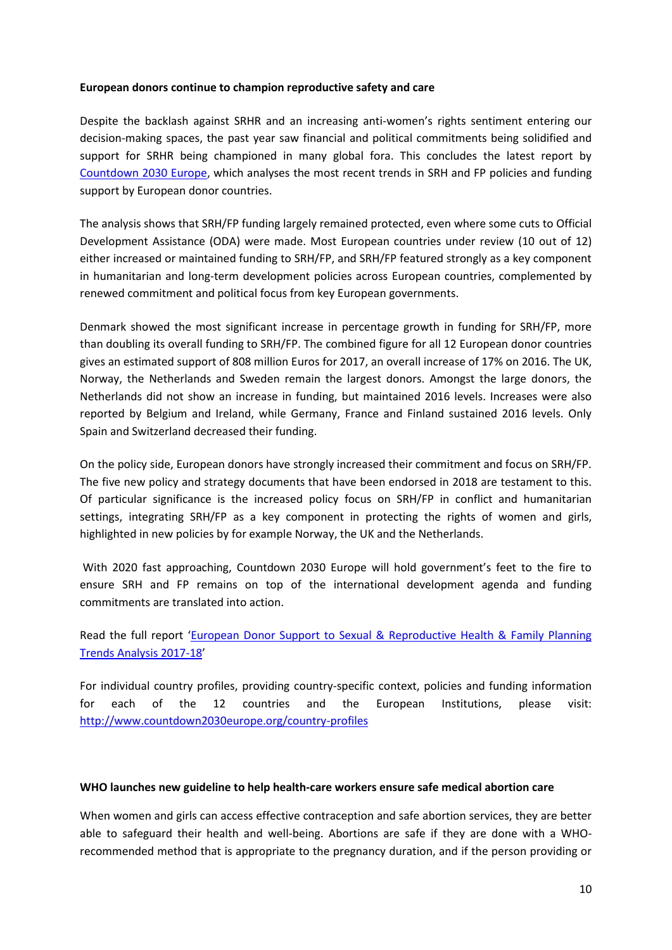### **European donors continue to champion reproductive safety and care**

Despite the backlash against SRHR and an increasing anti-women's rights sentiment entering our decision-making spaces, the past year saw financial and political commitments being solidified and support for SRHR being championed in many global fora. This concludes the latest report by [Countdown 2030 Europe,](http://www.countdown2030europe.org/about-us/who-we-are) which analyses the most recent trends in SRH and FP policies and funding support by European donor countries.

The analysis shows that SRH/FP funding largely remained protected, even where some cuts to Official Development Assistance (ODA) were made. Most European countries under review (10 out of 12) either increased or maintained funding to SRH/FP, and SRH/FP featured strongly as a key component in humanitarian and long-term development policies across European countries, complemented by renewed commitment and political focus from key European governments.

Denmark showed the most significant increase in percentage growth in funding for SRH/FP, more than doubling its overall funding to SRH/FP. The combined figure for all 12 European donor countries gives an estimated support of 808 million Euros for 2017, an overall increase of 17% on 2016. The UK, Norway, the Netherlands and Sweden remain the largest donors. Amongst the large donors, the Netherlands did not show an increase in funding, but maintained 2016 levels. Increases were also reported by Belgium and Ireland, while Germany, France and Finland sustained 2016 levels. Only Spain and Switzerland decreased their funding.

On the policy side, European donors have strongly increased their commitment and focus on SRH/FP. The five new policy and strategy documents that have been endorsed in 2018 are testament to this. Of particular significance is the increased policy focus on SRH/FP in conflict and humanitarian settings, integrating SRH/FP as a key component in protecting the rights of women and girls, highlighted in new policies by for example Norway, the UK and the Netherlands.

With 2020 fast approaching, Countdown 2030 Europe will hold government's feet to the fire to ensure SRH and FP remains on top of the international development agenda and funding commitments are translated into action.

Read the full report '[European Donor Support to Sexual & Reproductive Health & Family Planning](http://bit.ly/2FQOoNn)  [Trends Analysis 2017-18](http://bit.ly/2FQOoNn)'

For individual country profiles, providing country-specific context, policies and funding information for each of the 12 countries and the European Institutions, please visit: <http://www.countdown2030europe.org/country-profiles>

### **WHO launches new guideline to help health-care workers ensure safe medical abortion care**

When women and girls can access effective contraception and safe abortion services, they are better able to safeguard their health and well-being. Abortions are safe if they are done with a WHOrecommended method that is appropriate to the pregnancy duration, and if the person providing or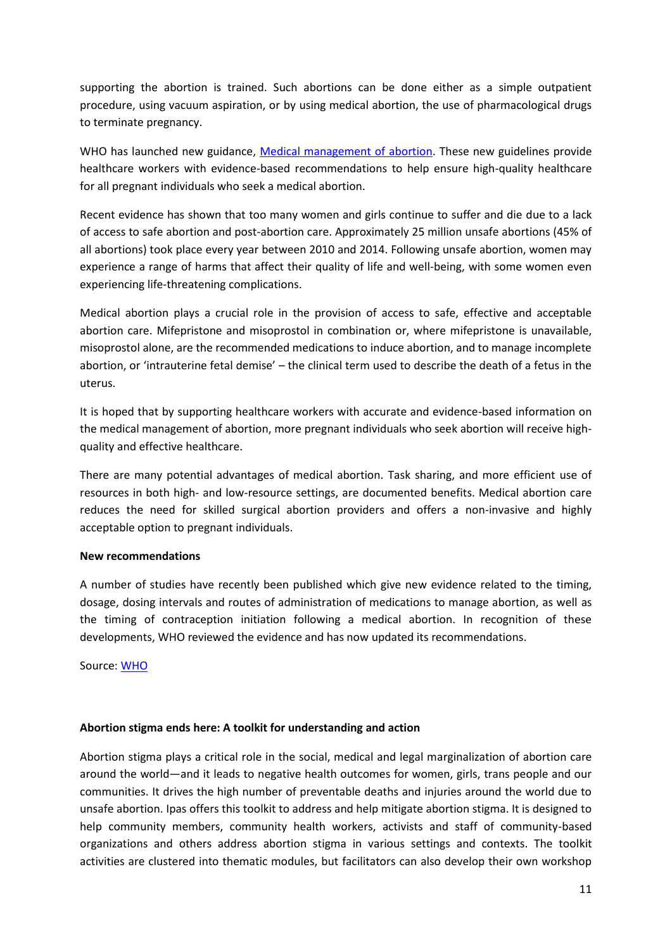supporting the abortion is trained. Such abortions can be done either as a simple outpatient procedure, using vacuum aspiration, or by using medical abortion, the use of pharmacological drugs to terminate pregnancy.

WHO has launched new guidance, [Medical management of abortion.](https://apps.who.int/iris/bitstream/handle/10665/278968/9789241550406-eng.pdf?ua=1) These new guidelines provide healthcare workers with evidence-based recommendations to help ensure high-quality healthcare for all pregnant individuals who seek a medical abortion.

Recent evidence has shown that too many women and girls continue to suffer and die due to a lack of access to safe abortion and post-abortion care. Approximately 25 million unsafe abortions (45% of all abortions) took place every year between 2010 and 2014. Following unsafe abortion, women may experience a range of harms that affect their quality of life and well-being, with some women even experiencing life-threatening complications.

Medical abortion plays a crucial role in the provision of access to safe, effective and acceptable abortion care. Mifepristone and misoprostol in combination or, where mifepristone is unavailable, misoprostol alone, are the recommended medications to induce abortion, and to manage incomplete abortion, or 'intrauterine fetal demise' – the clinical term used to describe the death of a fetus in the uterus.

It is hoped that by supporting healthcare workers with accurate and evidence-based information on the medical management of abortion, more pregnant individuals who seek abortion will receive highquality and effective healthcare.

There are many potential advantages of medical abortion. Task sharing, and more efficient use of resources in both high- and low-resource settings, are documented benefits. Medical abortion care reduces the need for skilled surgical abortion providers and offers a non-invasive and highly acceptable option to pregnant individuals.

## **New recommendations**

A number of studies have recently been published which give new evidence related to the timing, dosage, dosing intervals and routes of administration of medications to manage abortion, as well as the timing of contraception initiation following a medical abortion. In recognition of these developments, WHO reviewed the evidence and has now updated its recommendations.

Source: [WHO](https://www.who.int/reproductivehealth/publications/medical-management-abortion/en/)

## **Abortion stigma ends here: A toolkit for understanding and action**

Abortion stigma plays a critical role in the social, medical and legal marginalization of abortion care around the world—and it leads to negative health outcomes for women, girls, trans people and our communities. It drives the high number of preventable deaths and injuries around the world due to unsafe abortion. Ipas offers this toolkit to address and help mitigate abortion stigma. It is designed to help community members, community health workers, activists and staff of community-based organizations and others address abortion stigma in various settings and contexts. The toolkit activities are clustered into thematic modules, but facilitators can also develop their own workshop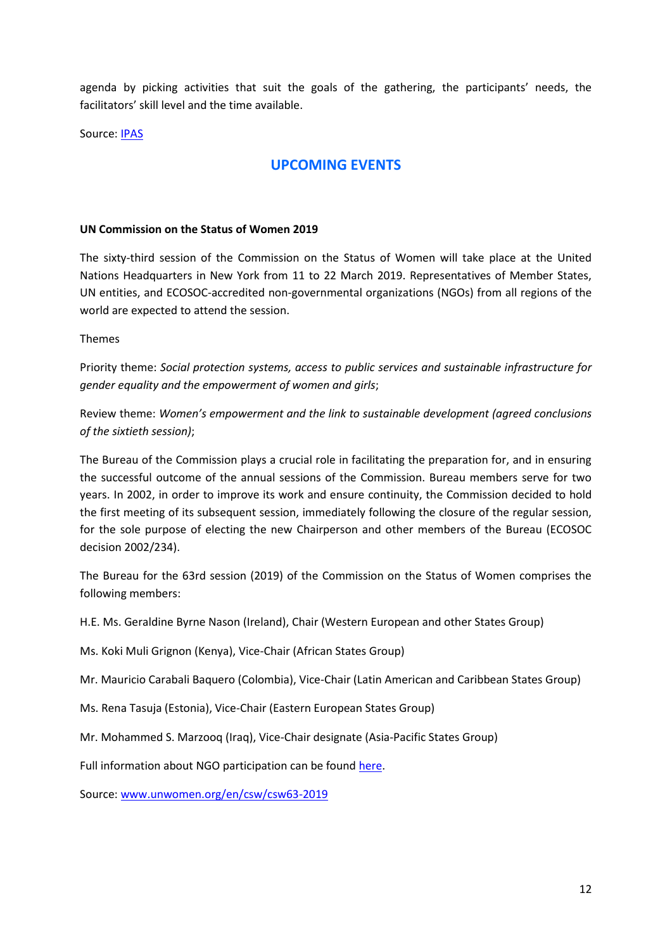agenda by picking activities that suit the goals of the gathering, the participants' needs, the facilitators' skill level and the time available.

Source: [IPAS](https://www.ipas.org/resources/abortion-stigma-ends-here)

## **UPCOMING EVENTS**

### **UN Commission on the Status of Women 2019**

The sixty-third session of the Commission on the Status of Women will take place at the United Nations Headquarters in New York from 11 to 22 March 2019. Representatives of Member States, UN entities, and ECOSOC-accredited non-governmental organizations (NGOs) from all regions of the world are expected to attend the session.

Themes

Priority theme: *Social protection systems, access to public services and sustainable infrastructure for gender equality and the empowerment of women and girls*;

Review theme: *Women's empowerment and the link to sustainable development (agreed conclusions of the sixtieth session)*;

The Bureau of the Commission plays a crucial role in facilitating the preparation for, and in ensuring the successful outcome of the annual sessions of the Commission. Bureau members serve for two years. In 2002, in order to improve its work and ensure continuity, the Commission decided to hold the first meeting of its subsequent session, immediately following the closure of the regular session, for the sole purpose of electing the new Chairperson and other members of the Bureau (ECOSOC decision 2002/234).

The Bureau for the 63rd session (2019) of the Commission on the Status of Women comprises the following members:

H.E. Ms. Geraldine Byrne Nason (Ireland), Chair (Western European and other States Group)

Ms. Koki Muli Grignon (Kenya), Vice-Chair (African States Group)

Mr. Mauricio Carabali Baquero (Colombia), Vice-Chair (Latin American and Caribbean States Group)

Ms. Rena Tasuja (Estonia), Vice-Chair (Eastern European States Group)

Mr. Mohammed S. Marzooq (Iraq), Vice-Chair designate (Asia-Pacific States Group)

Full information about NGO participation can be found [here.](http://www.unwomen.org/en/csw/ngo-participation.)

Source: [www.unwomen.org/en/csw/csw63-2019](http://www.unwomen.org/en/csw/csw63-2019)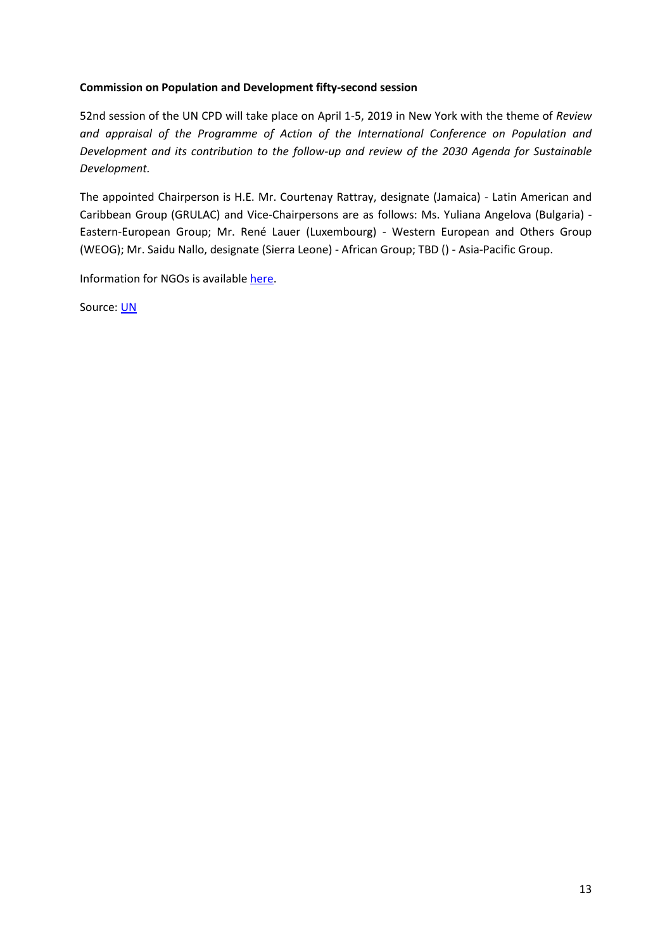### **Commission on Population and Development fifty-second session**

52nd session of the UN CPD will take place on April 1-5, 2019 in New York with the theme of *Review and appraisal of the Programme of Action of the International Conference on Population and Development and its contribution to the follow-up and review of the 2030 Agenda for Sustainable Development.*

The appointed Chairperson is H.E. Mr. Courtenay Rattray, designate (Jamaica) - Latin American and Caribbean Group (GRULAC) and Vice-Chairpersons are as follows: Ms. Yuliana Angelova (Bulgaria) - Eastern-European Group; Mr. René Lauer (Luxembourg) - Western European and Others Group (WEOG); Mr. Saidu Nallo, designate (Sierra Leone) - African Group; TBD () - Asia-Pacific Group.

Information for NGOs is availabl[e here.](http://www.un.org/en/development/desa/population/commission/sessions/2019/ngo_reg_about.shtml)

Source: [UN](http://www.un.org/en/development/desa/population/commission/sessions/2019/index.shtml)